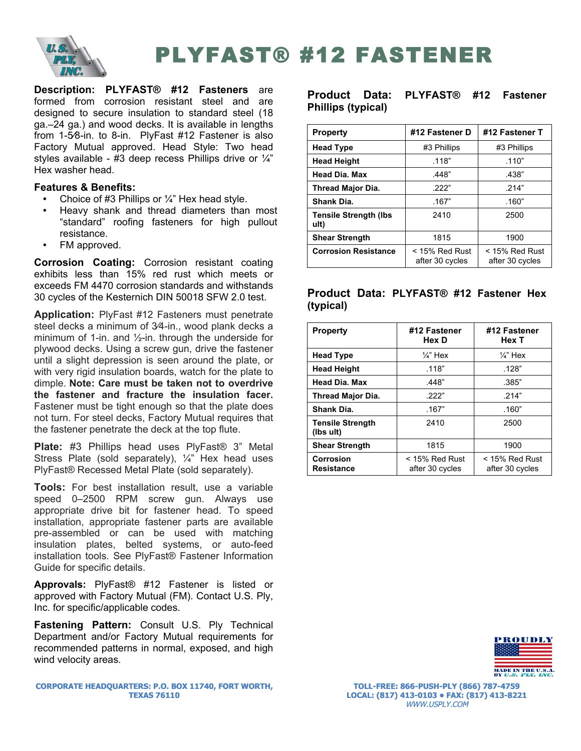

PLYFAST® #12 FASTENER

**Description: PLYFAST® #12 Fasteners** are formed from corrosion resistant steel and are designed to secure insulation to standard steel (18 ga.–24 ga.) and wood decks. It is available in lengths from 1-5⁄8-in. to 8-in. PlyFast #12 Fastener is also Factory Mutual approved. Head Style: Two head styles available - #3 deep recess Phillips drive or  $\frac{1}{4}$ " Hex washer head.

## **Features & Benefits:**

- Choice of #3 Phillips or ¼" Hex head style.
- Heavy shank and thread diameters than most "standard" roofing fasteners for high pullout resistance.
- FM approved.

**Corrosion Coating:** Corrosion resistant coating exhibits less than 15% red rust which meets or exceeds FM 4470 corrosion standards and withstands 30 cycles of the Kesternich DIN 50018 SFW 2.0 test.

**Application:** PlyFast #12 Fasteners must penetrate steel decks a minimum of 3⁄4-in., wood plank decks a minimum of 1-in. and  $\frac{1}{2}$ -in. through the underside for plywood decks. Using a screw gun, drive the fastener until a slight depression is seen around the plate, or with very rigid insulation boards, watch for the plate to dimple. **Note: Care must be taken not to overdrive the fastener and fracture the insulation facer.**  Fastener must be tight enough so that the plate does not turn. For steel decks, Factory Mutual requires that the fastener penetrate the deck at the top flute.

**Plate:** #3 Phillips head uses PlyFast® 3" Metal Stress Plate (sold separately), ¼" Hex head uses PlyFast® Recessed Metal Plate (sold separately).

**Tools:** For best installation result, use a variable speed 0–2500 RPM screw gun. Always use appropriate drive bit for fastener head. To speed installation, appropriate fastener parts are available pre-assembled or can be used with matching insulation plates, belted systems, or auto-feed installation tools. See PlyFast® Fastener Information Guide for specific details.

**Approvals:** PlyFast® #12 Fastener is listed or approved with Factory Mutual (FM). Contact U.S. Ply, Inc. for specific/applicable codes.

**Fastening Pattern:** Consult U.S. Ply Technical Department and/or Factory Mutual requirements for recommended patterns in normal, exposed, and high wind velocity areas.

**CORPORATE HEADQUARTERS: P.O. BOX 11740, FORT WORTH, TEXAS 76110**

### **Product Data: PLYFAST® #12 Fastener Phillips (typical)**

| <b>Property</b>                       | #12 Fastener D                      | #12 Fastener T                      |  |
|---------------------------------------|-------------------------------------|-------------------------------------|--|
| <b>Head Type</b>                      | #3 Phillips                         | #3 Phillips                         |  |
| <b>Head Height</b>                    | .118"                               | .110"                               |  |
| <b>Head Dia. Max</b>                  | .448"                               | .438"                               |  |
| <b>Thread Major Dia.</b>              | 222"                                | .214"                               |  |
| Shank Dia.                            | .167"                               | .160"                               |  |
| <b>Tensile Strength (Ibs)</b><br>ult) | 2410                                | 2500                                |  |
| <b>Shear Strength</b>                 | 1815                                | 1900                                |  |
| <b>Corrosion Resistance</b>           | $<$ 15% Red Rust<br>after 30 cycles | $<$ 15% Red Rust<br>after 30 cycles |  |

## **Product Data: PLYFAST® #12 Fastener Hex (typical)**

| <b>Property</b>                       | #12 Fastener<br>Hex D               | #12 Fastener<br>Hex T               |
|---------------------------------------|-------------------------------------|-------------------------------------|
| <b>Head Type</b>                      | $\frac{1}{4}$ " Hex                 | $\frac{1}{4}$ " Hex                 |
| <b>Head Height</b>                    | .118"                               | .128"                               |
| <b>Head Dia. Max</b>                  | .448"                               | .385"                               |
| <b>Thread Major Dia.</b>              | 222"                                | .214"                               |
| Shank Dia.                            | .167"                               | .160"                               |
| <b>Tensile Strength</b><br>(lbs ult)  | 2410                                | 2500                                |
| <b>Shear Strength</b>                 | 1815                                | 1900                                |
| <b>Corrosion</b><br><b>Resistance</b> | $<$ 15% Red Rust<br>after 30 cycles | $<$ 15% Red Rust<br>after 30 cycles |



**TOLL-FREE: 866-PUSH-PLY (866) 787-4759 LOCAL: (817) 413-0103 • FAX: (817) 413-8221** WWW.USPLY.COM